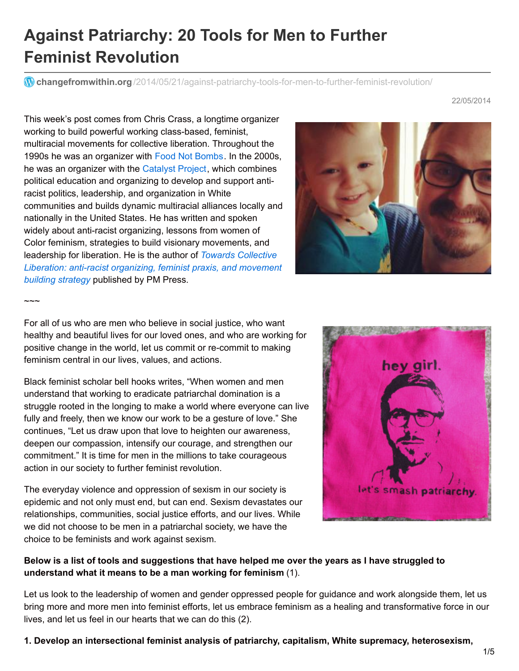## **Against Patriarchy: 20 Tools for Men to Further Feminist Revolution**

*changefromwithin.org* [/2014/05/21/against-patriarchy-tools-for-men-to-further-feminist-revolution/](https://changefromwithin.org/2014/05/21/against-patriarchy-tools-for-men-to-further-feminist-revolution/)

This week's post comes from Chris Crass, a longtime organizer working to build powerful working class-based, feminist, multiracial movements for collective liberation. Throughout the 1990s he was an organizer with Food Not [Bombs](http://www.foodnotbombs.net/). In the 2000s, he was an organizer with the [Catalyst](http://collectiveliberation.org/) Project, which combines political education and organizing to develop and support antiracist politics, leadership, and organization in White communities and builds dynamic multiracial alliances locally and nationally in the United States. He has written and spoken widely about anti-racist organizing, lessons from women of Color feminism, strategies to build visionary movements, and leadership for liberation. He is the author of *Towards Collective Liberation: anti-racist [organizing,](http://secure.pmpress.org/index.php?l=product_detail&p=518) feminist praxis, and movement building strategy* published by PM Press.

For all of us who are men who believe in social justice, who want healthy and beautiful lives for our loved ones, and who are working for positive change in the world, let us commit or re-commit to making feminism central in our lives, values, and actions.

 $\sim$  $\sim$ 

Black feminist scholar bell hooks writes, "When women and men understand that working to eradicate patriarchal domination is a struggle rooted in the longing to make a world where everyone can live fully and freely, then we know our work to be a gesture of love." She continues, "Let us draw upon that love to heighten our awareness, deepen our compassion, intensify our courage, and strengthen our commitment." It is time for men in the millions to take courageous action in our society to further feminist revolution.

The everyday violence and oppression of sexism in our society is epidemic and not only must end, but can end. Sexism devastates our relationships, communities, social justice efforts, and our lives. While we did not choose to be men in a patriarchal society, we have the choice to be feminists and work against sexism.

## Below is a list of tools and suggestions that have helped me over the years as I have struggled to **understand what it means to be a man working for feminism** (1).

Let us look to the leadership of women and gender oppressed people for guidance and work alongside them, let us bring more and more men into feminist efforts, let us embrace feminism as a healing and transformative force in our lives, and let us feel in our hearts that we can do this (2).

**1. Develop an intersectional feminist analysis of patriarchy, capitalism, White supremacy, heterosexism,**



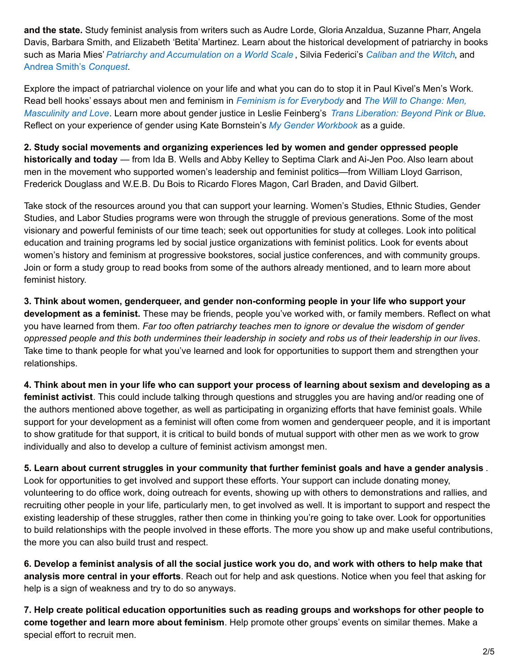**and the state.** Study feminist analysis from writers such as Audre Lorde, Gloria Anzaldua, Suzanne Pharr, Angela Davis, Barbara Smith, and Elizabeth 'Betita' Martinez. Learn about the historical development of patriarchy in books such as Maria Mies' *Patriarchy and [Accumulation](http://www.amazon.com/Patriarchy-Accumulation-World-Scale-International/dp/1856497356) on a World Scale* , Silvia Federici's *[Caliban](http://www.amazon.com/Caliban-Witch-Women-Primitive-Accumulation/dp/1570270597/ref=sr_1_1?s=books&ie=UTF8&qid=1400692889&sr=1-1&keywords=Caliban+and+the+Witch) and the Witch*, and Andrea Smith's *[Conquest](http://www.amazon.com/Conquest-Sexual-Violence-American-Genocide/dp/0896087433)*.

Explore the impact of patriarchal violence on your life and what you can do to stop it in Paul Kivel's Men's Work. Read bell hooks' essays about men and feminism in *Feminism is for [Everybody](http://www.amazon.com/Feminism-Everybody-Passionate-bell-hooks/dp/0896086283/ref=sr_1_1?s=books&ie=UTF8&qid=1400692986&sr=1-1&keywords=feminism+is+for+everybody)* and *The Will to Change: Men, [Masculinity](http://www.amazon.com/Will-Change-Men-Masculinity-Love/dp/0743456084/ref=sr_1_1?s=books&ie=UTF8&qid=1400693005&sr=1-1&keywords=the+will+to+change+men+masculinity+and+love) and Love*. Learn more about gender justice in Leslie Feinberg's *Trans [Liberation:](http://www.amazon.com/Trans-Liberation-Beyond-Pink-Blue/dp/0807079510/ref=sr_1_1?s=books&ie=UTF8&qid=1400693027&sr=1-1&keywords=Trans+Liberation%3A+Beyond+Pink+or+Blue) Beyond Pink or Blue*. Reflect on your experience of gender using Kate Bornstein's *My Gender [Workbook](http://www.amazon.com/New-Gender-Workbook-Step---Step/dp/0415538653/ref=sr_1_1?s=books&ie=UTF8&qid=1400693047&sr=1-1&keywords=My+gender+workbook)* as a guide.

**2. Study social movements and organizing experiences led by women and gender oppressed people historically and today** — from Ida B. Wells and Abby Kelley to Septima Clark and Ai-Jen Poo. Also learn about men in the movement who supported women's leadership and feminist politics—from William Lloyd Garrison, Frederick Douglass and W.E.B. Du Bois to Ricardo Flores Magon, Carl Braden, and David Gilbert.

Take stock of the resources around you that can support your learning. Women's Studies, Ethnic Studies, Gender Studies, and Labor Studies programs were won through the struggle of previous generations. Some of the most visionary and powerful feminists of our time teach; seek out opportunities for study at colleges. Look into political education and training programs led by social justice organizations with feminist politics. Look for events about women's history and feminism at progressive bookstores, social justice conferences, and with community groups. Join or form a study group to read books from some of the authors already mentioned, and to learn more about feminist history.

**3. Think about women, genderqueer, and gender non-conforming people in your life who support your development as a feminist.** These may be friends, people you've worked with, or family members. Reflect on what you have learned from them. *Far too often patriarchy teaches men to ignore or devalue the wisdom of gender* oppressed people and this both undermines their leadership in society and robs us of their leadership in our lives. Take time to thank people for what you've learned and look for opportunities to support them and strengthen your relationships.

4. Think about men in your life who can support your process of learning about sexism and developing as a **feminist activist**. This could include talking through questions and struggles you are having and/or reading one of the authors mentioned above together, as well as participating in organizing efforts that have feminist goals. While support for your development as a feminist will often come from women and genderqueer people, and it is important to show gratitude for that support, it is critical to build bonds of mutual support with other men as we work to grow individually and also to develop a culture of feminist activism amongst men.

5. Learn about current struggles in your community that further feminist goals and have a gender analysis. Look for opportunities to get involved and support these efforts. Your support can include donating money, volunteering to do office work, doing outreach for events, showing up with others to demonstrations and rallies, and recruiting other people in your life, particularly men, to get involved as well. It is important to support and respect the existing leadership of these struggles, rather then come in thinking you're going to take over. Look for opportunities to build relationships with the people involved in these efforts. The more you show up and make useful contributions, the more you can also build trust and respect.

6. Develop a feminist analysis of all the social justice work you do, and work with others to help make that **analysis more central in your efforts**. Reach out for help and ask questions. Notice when you feel that asking for help is a sign of weakness and try to do so anyways.

**7. Help create political education opportunities such as reading groups and workshops for other people to come together and learn more about feminism**. Help promote other groups' events on similar themes. Make a special effort to recruit men.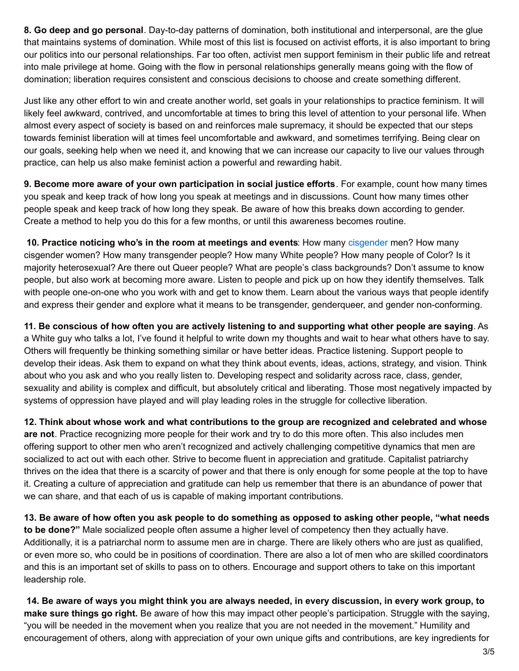**8. Go deep and go personal**. Day-to-day patterns of domination, both institutional and interpersonal, are the glue that maintains systems of domination. While most of this list is focused on activist efforts, it is also important to bring our politics into our personal relationships. Far too often, activist men support feminism in their public life and retreat into male privilege at home. Going with the flow in personal relationships generally means going with the flow of domination; liberation requires consistent and conscious decisions to choose and create something different.

Just like any other effort to win and create another world, set goals in your relationships to practice feminism. It will likely feel awkward, contrived, and uncomfortable at times to bring this level of attention to your personal life. When almost every aspect of society is based on and reinforces male supremacy, it should be expected that our steps towards feminist liberation will at times feel uncomfortable and awkward, and sometimes terrifying. Being clear on our goals, seeking help when we need it, and knowing that we can increase our capacity to live our values through practice, can help us also make feminist action a powerful and rewarding habit.

**9. Become more aware of your own participation in social justice efforts**. For example, count how many times you speak and keep track of how long you speak at meetings and in discussions. Count how many times other people speak and keep track of how long they speak. Be aware of how this breaks down according to gender. Create a method to help you do this for a few months, or until this awareness becomes routine.

**10. Practice noticing who's in the room at meetings and events**: How many [cisgender](http://www.basicrights.org/uncategorized/trans-101-cisgender/) men? How many cisgender women? How many transgender people? How many White people? How many people of Color? Is it majority heterosexual? Are there out Queer people? What are people's class backgrounds? Don't assume to know people, but also work at becoming more aware. Listen to people and pick up on how they identify themselves. Talk with people one-on-one who you work with and get to know them. Learn about the various ways that people identify and express their gender and explore what it means to be transgender, genderqueer, and gender non-conforming.

11. Be conscious of how often you are actively listening to and supporting what other people are saying. As a White guy who talks a lot, I've found it helpful to write down my thoughts and wait to hear what others have to say. Others will frequently be thinking something similar or have better ideas. Practice listening. Support people to develop their ideas. Ask them to expand on what they think about events, ideas, actions, strategy, and vision. Think about who you ask and who you really listen to. Developing respect and solidarity across race, class, gender, sexuality and ability is complex and difficult, but absolutely critical and liberating. Those most negatively impacted by systems of oppression have played and will play leading roles in the struggle for collective liberation.

**12. Think about whose work and what contributions to the group are recognized and celebrated and whose are not**. Practice recognizing more people for their work and try to do this more often. This also includes men offering support to other men who aren't recognized and actively challenging competitive dynamics that men are socialized to act out with each other. Strive to become fluent in appreciation and gratitude. Capitalist patriarchy thrives on the idea that there is a scarcity of power and that there is only enough for some people at the top to have it. Creating a culture of appreciation and gratitude can help us remember that there is an abundance of power that we can share, and that each of us is capable of making important contributions.

13. Be aware of how often you ask people to do something as opposed to asking other people, "what needs **to be done?"** Male socialized people often assume a higher level of competency then they actually have. Additionally, it is a patriarchal norm to assume men are in charge. There are likely others who are just as qualified, or even more so, who could be in positions of coordination. There are also a lot of men who are skilled coordinators and this is an important set of skills to pass on to others. Encourage and support others to take on this important leadership role.

14. Be aware of ways you might think you are always needed, in every discussion, in every work group, to **make sure things go right.** Be aware of how this may impact other people's participation. Struggle with the saying, "you will be needed in the movement when you realize that you are not needed in the movement." Humility and encouragement of others, along with appreciation of your own unique gifts and contributions, are key ingredients for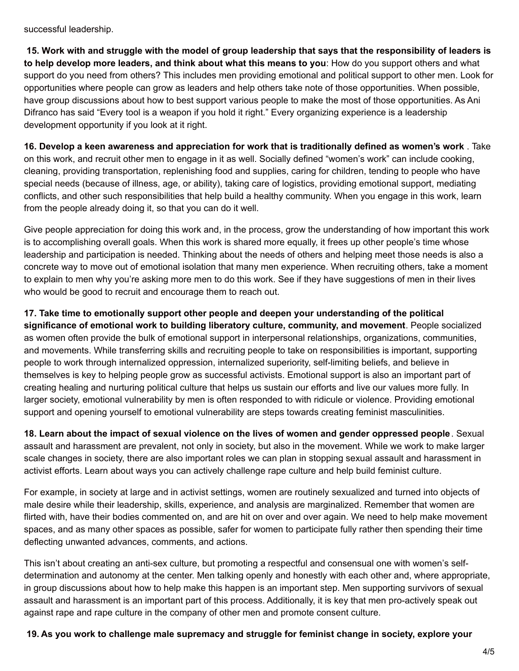successful leadership.

15. Work with and struggle with the model of group leadership that says that the responsibility of leaders is **to help develop more leaders, and think about what this means to you**: How do you support others and what support do you need from others? This includes men providing emotional and political support to other men. Look for opportunities where people can grow as leaders and help others take note of those opportunities. When possible, have group discussions about how to best support various people to make the most of those opportunities. As Ani Difranco has said "Every tool is a weapon if you hold it right." Every organizing experience is a leadership development opportunity if you look at it right.

**16. Develop a keen awareness and appreciation for work that is traditionally defined as women's work** . Take on this work, and recruit other men to engage in it as well. Socially defined "women's work" can include cooking, cleaning, providing transportation, replenishing food and supplies, caring for children, tending to people who have special needs (because of illness, age, or ability), taking care of logistics, providing emotional support, mediating conflicts, and other such responsibilities that help build a healthy community. When you engage in this work, learn from the people already doing it, so that you can do it well.

Give people appreciation for doing this work and, in the process, grow the understanding of how important this work is to accomplishing overall goals. When this work is shared more equally, it frees up other people's time whose leadership and participation is needed. Thinking about the needs of others and helping meet those needs is also a concrete way to move out of emotional isolation that many men experience. When recruiting others, take a moment to explain to men why you're asking more men to do this work. See if they have suggestions of men in their lives who would be good to recruit and encourage them to reach out.

**17. Take time to emotionally support other people and deepen your understanding of the political significance of emotional work to building liberatory culture, community, and movement**. People socialized as women often provide the bulk of emotional support in interpersonal relationships, organizations, communities, and movements. While transferring skills and recruiting people to take on responsibilities is important, supporting people to work through internalized oppression, internalized superiority, self-limiting beliefs, and believe in themselves is key to helping people grow as successful activists. Emotional support is also an important part of creating healing and nurturing political culture that helps us sustain our efforts and live our values more fully. In larger society, emotional vulnerability by men is often responded to with ridicule or violence. Providing emotional support and opening yourself to emotional vulnerability are steps towards creating feminist masculinities.

**18. Learn about the impact of sexual violence on the lives of women and gender oppressed people**. Sexual assault and harassment are prevalent, not only in society, but also in the movement. While we work to make larger scale changes in society, there are also important roles we can plan in stopping sexual assault and harassment in activist efforts. Learn about ways you can actively challenge rape culture and help build feminist culture.

For example, in society at large and in activist settings, women are routinely sexualized and turned into objects of male desire while their leadership, skills, experience, and analysis are marginalized. Remember that women are flirted with, have their bodies commented on, and are hit on over and over again. We need to help make movement spaces, and as many other spaces as possible, safer for women to participate fully rather then spending their time deflecting unwanted advances, comments, and actions.

This isn't about creating an anti-sex culture, but promoting a respectful and consensual one with women's selfdetermination and autonomy at the center. Men talking openly and honestly with each other and, where appropriate, in group discussions about how to help make this happen is an important step. Men supporting survivors of sexual assault and harassment is an important part of this process. Additionally, it is key that men pro-actively speak out against rape and rape culture in the company of other men and promote consent culture.

**19. As you work to challenge male supremacy and struggle for feminist change in society, explore your**